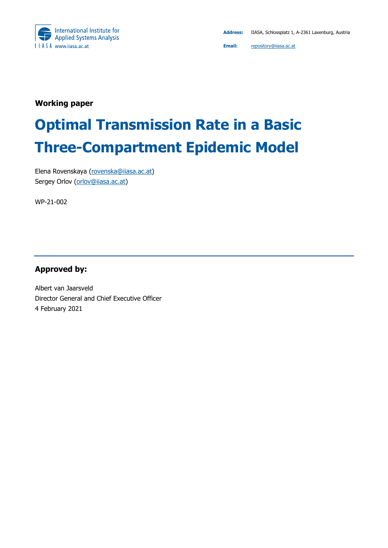

**Working paper**

# **Optimal Transmission Rate in a Basic Three-Compartment Epidemic Model**

Elena Rovenskaya [\(rovenska@iiasa.ac.at\)](mailto:rovenska@iiasa.ac.at) Sergey Orlov [\(orlov@iiasa.ac.at\)](mailto:orlov@iiasa.ac.at)

WP-21-002

**Approved by:**

Albert van Jaarsveld Director General and Chief Executive Officer 4 February 2021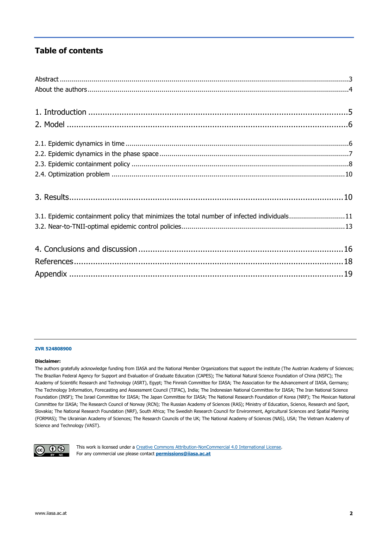### **Table of contents**

| 3.1. Epidemic containment policy that minimizes the total number of infected individuals11 |
|--------------------------------------------------------------------------------------------|
|                                                                                            |
|                                                                                            |
|                                                                                            |
|                                                                                            |
|                                                                                            |

#### **ZVR 524808900**

#### **Disclaimer:**

The authors gratefully acknowledge funding from IIASA and the National Member Organizations that support the institute (The Austrian Academy of Sciences; The Brazilian Federal Agency for Support and Evaluation of Graduate Education (CAPES); The National Natural Science Foundation of China (NSFC); The Academy of Scientific Research and Technology (ASRT), Egypt; The Finnish Committee for IIASA; The Association for the Advancement of IIASA, Germany; The Technology Information, Forecasting and Assessment Council (TIFAC), India; The Indonesian National Committee for IIASA; The Iran National Science Foundation (INSF); The Israel Committee for IIASA; The Japan Committee for IIASA; The National Research Foundation of Korea (NRF); The Mexican National Committee for IIASA; The Research Council of Norway (RCN); The Russian Academy of Sciences (RAS); Ministry of Education, Science, Research and Sport, Slovakia; The National Research Foundation (NRF), South Africa; The Swedish Research Council for Environment, Agricultural Sciences and Spatial Planning (FORMAS); The Ukrainian Academy of Sciences; The Research Councils of the UK; The National Academy of Sciences (NAS), USA; The Vietnam Academy of Science and Technology (VAST).



This work is licensed under a [Creative Commons Attribution-NonCommercial 4.0 International License.](https://creativecommons.org/licenses/by-nc/4.0/#_blank) For any commercial use please contact **[permissions@iiasa.ac.at](mailto:permissions@iiasa.ac.at)**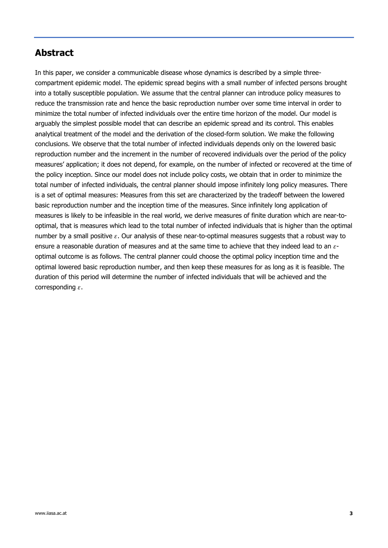### <span id="page-2-0"></span>**Abstract**

In this paper, we consider a communicable disease whose dynamics is described by a simple threecompartment epidemic model. The epidemic spread begins with a small number of infected persons brought into a totally susceptible population. We assume that the central planner can introduce policy measures to reduce the transmission rate and hence the basic reproduction number over some time interval in order to minimize the total number of infected individuals over the entire time horizon of the model. Our model is arguably the simplest possible model that can describe an epidemic spread and its control. This enables analytical treatment of the model and the derivation of the closed-form solution. We make the following conclusions. We observe that the total number of infected individuals depends only on the lowered basic reproduction number and the increment in the number of recovered individuals over the period of the policy measures' application; it does not depend, for example, on the number of infected or recovered at the time of the policy inception. Since our model does not include policy costs, we obtain that in order to minimize the total number of infected individuals, the central planner should impose infinitely long policy measures. There is a set of optimal measures: Measures from this set are characterized by the tradeoff between the lowered basic reproduction number and the inception time of the measures. Since infinitely long application of measures is likely to be infeasible in the real world, we derive measures of finite duration which are near-tooptimal, that is measures which lead to the total number of infected individuals that is higher than the optimal number by a small positive  $\varepsilon$ . Our analysis of these near-to-optimal measures suggests that a robust way to ensure a reasonable duration of measures and at the same time to achieve that they indeed lead to an  $\varepsilon$ optimal outcome is as follows. The central planner could choose the optimal policy inception time and the optimal lowered basic reproduction number, and then keep these measures for as long as it is feasible. The duration of this period will determine the number of infected individuals that will be achieved and the corresponding  $\varepsilon$ .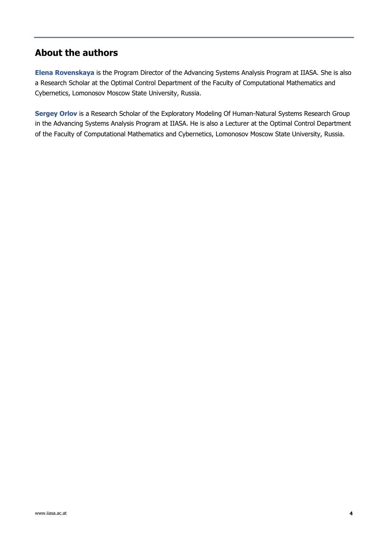## <span id="page-3-0"></span>**About the authors**

**Elena Rovenskaya** is the Program Director of the Advancing Systems Analysis Program at IIASA. She is also a Research Scholar at the Optimal Control Department of the Faculty of Computational Mathematics and Cybernetics, Lomonosov Moscow State University, Russia.

**Sergey Orlov** is a Research Scholar of the Exploratory Modeling Of Human-Natural Systems Research Group in the Advancing Systems Analysis Program at IIASA. He is also a Lecturer at the Optimal Control Department of the Faculty of Computational Mathematics and Cybernetics, Lomonosov Moscow State University, Russia.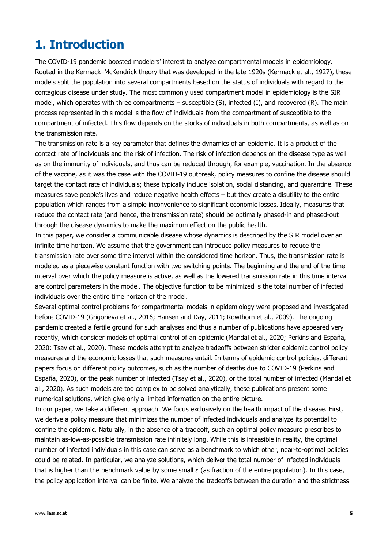## <span id="page-4-0"></span>**1. Introduction**

The COVID-19 pandemic boosted modelers' interest to analyze compartmental models in epidemiology. Rooted in the Kermack–McKendrick theory that was developed in the late 1920s (Kermack et al., 1927), these models split the population into several compartments based on the status of individuals with regard to the contagious disease under study. The most commonly used compartment model in epidemiology is the SIR model, which operates with three compartments – susceptible (S), infected (I), and recovered (R). The main process represented in this model is the flow of individuals from the compartment of susceptible to the compartment of infected. This flow depends on the stocks of individuals in both compartments, as well as on the transmission rate.

The transmission rate is a key parameter that defines the dynamics of an epidemic. It is a product of the contact rate of individuals and the risk of infection. The risk of infection depends on the disease type as well as on the immunity of individuals, and thus can be reduced through, for example, vaccination. In the absence of the vaccine, as it was the case with the COVID-19 outbreak, policy measures to confine the disease should target the contact rate of individuals; these typically include isolation, social distancing, and quarantine. These measures save people's lives and reduce negative health effects – but they create a disutility to the entire population which ranges from a simple inconvenience to significant economic losses. Ideally, measures that reduce the contact rate (and hence, the transmission rate) should be optimally phased-in and phased-out through the disease dynamics to make the maximum effect on the public health.

In this paper, we consider a communicable disease whose dynamics is described by the SIR model over an infinite time horizon. We assume that the government can introduce policy measures to reduce the transmission rate over some time interval within the considered time horizon. Thus, the transmission rate is modeled as a piecewise constant function with two switching points. The beginning and the end of the time interval over which the policy measure is active, as well as the lowered transmission rate in this time interval are control parameters in the model. The objective function to be minimized is the total number of infected individuals over the entire time horizon of the model.

Several optimal control problems for compartmental models in epidemiology were proposed and investigated before COVID-19 (Grigorieva et al., 2016; Hansen and Day, 2011; Rowthorn et al., 2009). The ongoing pandemic created a fertile ground for such analyses and thus a number of publications have appeared very recently, which consider models of optimal control of an epidemic (Mandal et al., 2020; Perkins and España, 2020; Tsay et al., 2020). These models attempt to analyze tradeoffs between stricter epidemic control policy measures and the economic losses that such measures entail. In terms of epidemic control policies, different papers focus on different policy outcomes, such as the number of deaths due to COVID-19 (Perkins and España, 2020), or the peak number of infected (Tsay et al., 2020), or the total number of infected (Mandal et al., 2020). As such models are too complex to be solved analytically, these publications present some numerical solutions, which give only a limited information on the entire picture.

In our paper, we take a different approach. We focus exclusively on the health impact of the disease. First, we derive a policy measure that minimizes the number of infected individuals and analyze its potential to confine the epidemic. Naturally, in the absence of a tradeoff, such an optimal policy measure prescribes to maintain as-low-as-possible transmission rate infinitely long. While this is infeasible in reality, the optimal number of infected individuals in this case can serve as a benchmark to which other, near-to-optimal policies could be related. In particular, we analyze solutions, which deliver the total number of infected individuals that is higher than the benchmark value by some small  $\varepsilon$  (as fraction of the entire population). In this case, the policy application interval can be finite. We analyze the tradeoffs between the duration and the strictness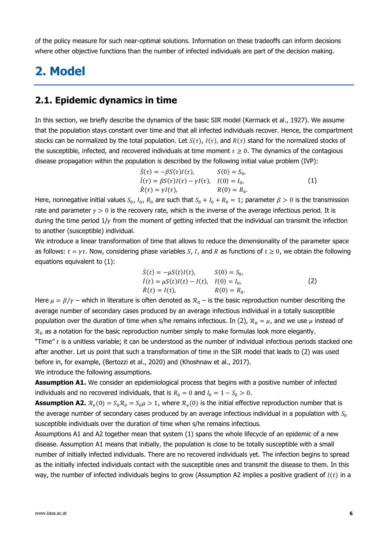of the policy measure for such near-optimal solutions. Information on these tradeoffs can inform decisions where other objective functions than the number of infected individuals are part of the decision making.

## <span id="page-5-0"></span>**2. Model**

### <span id="page-5-1"></span>**2.1. Epidemic dynamics in time**

In this section, we briefly describe the dynamics of the basic SIR model (Kermack et al., 1927). We assume that the population stays constant over time and that all infected individuals recover. Hence, the compartment stocks can be normalized by the total population. Let  $S(\tau)$ ,  $I(\tau)$ , and  $R(\tau)$  stand for the normalized stocks of the susceptible, infected, and recovered individuals at time moment  $\tau \geq 0$ . The dynamics of the contagious disease propagation within the population is described by the following initial value problem (IVP):

<span id="page-5-2"></span>
$$
\dot{S}(\tau) = -\beta S(\tau)I(\tau), \qquad S(0) = S_0,
$$
\n
$$
\dot{I}(\tau) = \beta S(\tau)I(\tau) - \gamma I(\tau), \quad I(0) = I_0,
$$
\n
$$
\dot{R}(\tau) = \gamma I(\tau), \qquad R(0) = R_0.
$$
\n(1)

Here, nonnegative initial values  $S_0$ ,  $I_0$ ,  $R_0$  are such that  $S_0 + I_0 + R_0 = 1$ ; parameter  $\beta > 0$  is the transmission rate and parameter  $\gamma > 0$  is the recovery rate, which is the inverse of the average infectious period. It is during the time period  $1/\gamma$  from the moment of getting infected that the individual can transmit the infection to another (susceptible) individual.

We introduce a linear transformation of time that allows to reduce the dimensionality of the parameter space as follows:  $t = \gamma \tau$ . Now, considering phase variables S, I, and R as functions of  $t \ge 0$ , we obtain the following equations equivalent to [\(1\):](#page-5-2)

<span id="page-5-3"></span>
$$
\dot{S}(t) = -\mu S(t)I(t), \qquad S(0) = S_0,\n\dot{I}(t) = \mu S(t)I(t) - I(t), \quad I(0) = I_0,\n\dot{R}(t) = I(t), \qquad R(0) = R_0.
$$
\n(2)

Here  $\mu = \beta/\gamma$  – which in literature is often denoted as  $\mathcal{R}_0$  – is the basic reproduction number describing the average number of secondary cases produced by an average infectious individual in a totally susceptible population over the duration of time when s/he remains infectious. In [\(2\),](#page-5-3)  $\mathcal{R}_0 = \mu$ , and we use  $\mu$  instead of  $\mathcal{R}_0$  as a notation for the basic reproduction number simply to make formulas look more elegantly. "Time"  $t$  is a unitless variable; it can be understood as the number of individual infectious periods stacked one after another. Let us point that such a transformation of time in the SIR model that leads to [\(2\)](#page-5-3) was used before in, for example, (Bertozzi et al., 2020) and (Khoshnaw et al., 2017). We introduce the following assumptions.

**Assumption A1.** We consider an epidemiological process that begins with a positive number of infected individuals and no recovered individuals, that is  $R_0 = 0$  and  $I_0 = 1 - S_0 > 0$ .

**Assumption A2.**  $\mathcal{R}_{e}(0) = S_0 \mathcal{R}_0 = S_0 \mu > 1$ , where  $\mathcal{R}_{e}(0)$  is the initial effective reproduction number that is the average number of secondary cases produced by an average infectious individual in a population with  $S_0$ susceptible individuals over the duration of time when s/he remains infectious.

Assumptions A1 and A2 together mean that system [\(1\)](#page-5-2) spans the whole lifecycle of an epidemic of a new disease. Assumption A1 means that initially, the population is close to be totally susceptible with a small number of initially infected individuals. There are no recovered individuals yet. The infection begins to spread as the initially infected individuals contact with the susceptible ones and transmit the disease to them. In this way, the number of infected individuals begins to grow (Assumption A2 implies a positive gradient of  $I(t)$  in a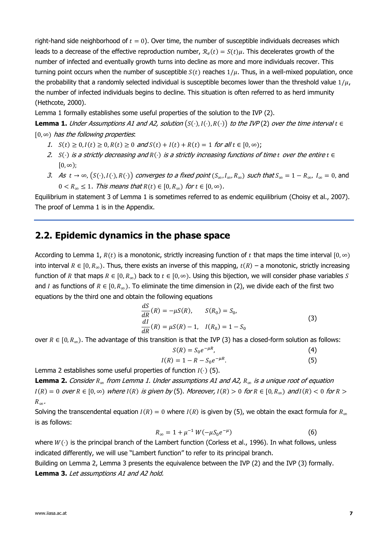right-hand side neighborhood of  $t = 0$ ). Over time, the number of susceptible individuals decreases which leads to a decrease of the effective reproduction number,  $\mathcal{R}_e(t) = S(t)\mu$ . This decelerates growth of the number of infected and eventually growth turns into decline as more and more individuals recover. This turning point occurs when the number of susceptible  $S(t)$  reaches  $1/\mu$ . Thus, in a well-mixed population, once the probability that a randomly selected individual is susceptible becomes lower than the threshold value  $1/\mu$ , the number of infected individuals begins to decline. This situation is often referred to as herd immunity (Hethcote, 2000).

Lemma 1 formally establishes some useful properties of the solution to the IVP [\(2\).](#page-5-3)

**Lemma 1.** Under Assumptions A1 and A2, solution  $(S(\cdot), I(\cdot), R(\cdot))$  to the IVP [\(2\)](#page-5-3) over the time interval  $t \in$  $[0, \infty)$  has the following properties.

- 1.  $S(t) \ge 0, I(t) \ge 0, R(t) \ge 0$  and  $S(t) + I(t) + R(t) = 1$  for all  $t \in [0, \infty)$ ;
- 2. S $\left(\cdot\right)$  is a strictly decreasing and  $R\left(\cdot\right)$  is a strictly increasing functions of time t over the entire  $t \in$  $[0, \infty);$
- 3. As  $t \to \infty$ ,  $(S(\cdot), I(\cdot), R(\cdot))$  converges to a fixed point  $(S_\infty, I_\infty, R_\infty)$  such that  $S_\infty = 1 R_\infty$ ,  $I_\infty = 0$ , and  $0 < R_{\infty} \leq 1$ . This means that  $R(t) \in [0, R_{\infty})$  for  $t \in [0, \infty)$ .

Equilibrium in statement 3 of Lemma 1 is sometimes referred to as endemic equilibrium (Choisy et al., 2007). The proof of Lemma 1 is in the Appendix.

### <span id="page-6-0"></span>**2.2. Epidemic dynamics in the phase space**

According to Lemma 1,  $R(t)$  is a monotonic, strictly increasing function of t that maps the time interval  $[0, \infty)$ into interval  $R \in [0, R_{\infty})$ . Thus, there exists an inverse of this mapping,  $t(R)$  – a monotonic, strictly increasing function of R that maps  $R \in [0, R_{\infty})$  back to  $t \in [0, \infty)$ . Using this bijection, we will consider phase variables S and *I* as functions of  $R \in [0, R_{\infty})$ . To eliminate the time dimension in [\(2\),](#page-5-3) we divide each of the first two equations by the third one and obtain the following equations

$$
\frac{dS}{dR}(R) = -\mu S(R), \qquad S(R_0) = S_0,
$$
  
\n
$$
\frac{dI}{dR}(R) = \mu S(R) - 1, \quad I(R_0) = 1 - S_0
$$
\n(3)

over  $R \in [0, R_{\infty})$ . The advantage of this transition is that the IVP [\(3\)](#page-6-1) has a closed-form solution as follows:

<span id="page-6-3"></span><span id="page-6-2"></span><span id="page-6-1"></span>
$$
S(R) = S_0 e^{-\mu R},\tag{4}
$$

$$
I(R) = 1 - R - S_0 e^{-\mu R}.
$$
 (5)

Lemma 2 establishes some useful properties of function  $I(\cdot)$  [\(5\).](#page-6-2)

**Lemma 2.** Consider  $R_{\infty}$  from Lemma 1. Under assumptions A1 and A2,  $R_{\infty}$  is a unique root of equation  $I(R) = 0$  over  $R \in [0, \infty)$  where  $I(R)$  is given by [\(5\).](#page-6-2) Moreover,  $I(R) > 0$  for  $R \in [0, R_{\infty})$  and  $I(R) < 0$  for  $R > 0$  $R_{\infty}$ .

Solving the transcendental equation  $I(R) = 0$  where  $I(R)$  is given by [\(5\),](#page-6-2) we obtain the exact formula for  $R_{\infty}$ is as follows:

<span id="page-6-4"></span>
$$
R_{\infty} = 1 + \mu^{-1} W(-\mu S_0 e^{-\mu})
$$
 (6)

where  $W(\cdot)$  is the principal branch of the Lambert function (Corless et al., 1996). In what follows, unless indicated differently, we will use "Lambert function" to refer to its principal branch.

Building on Lemma 2, Lemma 3 presents the equivalence between the IVP [\(2\)](#page-5-3) and the IVP [\(3\)](#page-6-1) formally. **Lemma 3.** Let assumptions A1 and A2 hold.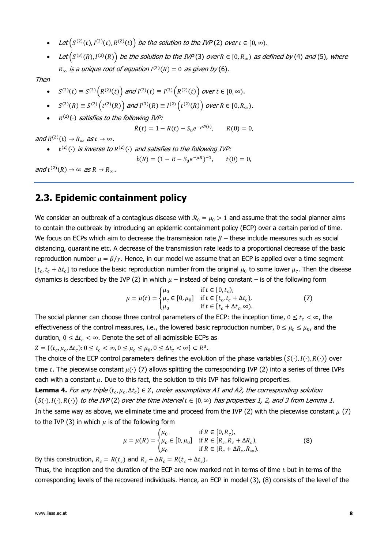- Let  $(S^{(2)}(t), I^{(2)}(t), R^{(2)}(t))$  $(S^{(2)}(t), I^{(2)}(t), R^{(2)}(t))$  $(S^{(2)}(t), I^{(2)}(t), R^{(2)}(t))$  be the solution to the IVP (2) over  $t \in [0, \infty)$ .
- Let  $(S^{(3)}(R), I^{(3)}(R))$  $(S^{(3)}(R), I^{(3)}(R))$  $(S^{(3)}(R), I^{(3)}(R))$  be the solution to the IVP(3) over  $R \in [0, R_\infty)$  as defined by [\(4\)](#page-6-3) and [\(5\)](#page-6-2), where  $R_{\infty}$  is a unique root of equation  $I^{(3)}(R) = 0$  as given by [\(6\)](#page-6-4).

Then

- $S^{(2)}(t) \equiv S^{(3)}(R^{(2)}(t))$  and  $I^{(2)}(t) \equiv I^{(3)}(R^{(2)}(t))$  over  $t \in [0, \infty)$ .
- $S^{(3)}(R) \equiv S^{(2)}(t^{(2)}(R))$  and  $I^{(3)}(R) \equiv I^{(2)}(t^{(2)}(R))$  over  $R \in [0, R_{\infty})$ .
- $R^{(2)}(\cdot)$  satisfies to the following IVP:

$$
\dot{R}(t) = 1 - R(t) - S_0 e^{-\mu R(t)}, \qquad R(0) = 0,
$$

and  $R^{(2)}(t) \rightarrow R_{\infty}$  as  $t \rightarrow \infty$ .

•  $t^{(2)}(\cdot)$  is inverse to  $R^{(2)}(\cdot)$  and satisfies to the following IVP:

$$
\dot{t}(R) = (1 - R - S_0 e^{-\mu R})^{-1}, \qquad t(0) = 0,
$$

and  $t^{(2)}(R) \to \infty$  as  $R \to R_{\infty}$ .

## <span id="page-7-0"></span>**2.3. Epidemic containment policy**

We consider an outbreak of a contagious disease with  $\mathcal{R}_0 = \mu_0 > 1$  and assume that the social planner aims to contain the outbreak by introducing an epidemic containment policy (ECP) over a certain period of time. We focus on ECPs which aim to decrease the transmission rate  $\beta$  – these include measures such as social distancing, quarantine etc. A decrease of the transmission rate leads to a proportional decrease of the basic reproduction number  $\mu = \beta/\gamma$ . Hence, in our model we assume that an ECP is applied over a time segment  $[t_c, t_c + \Delta t_c]$  to reduce the basic reproduction number from the original  $\mu_0$  to some lower  $\mu_c$ . Then the disease dynamics is described by the IVP [\(2\)](#page-5-3) in which  $\mu$  – instead of being constant – is of the following form

<span id="page-7-1"></span>
$$
\mu = \mu(t) = \begin{cases} \mu_0 & \text{if } t \in [0, t_c), \\ \mu_c \in [0, \mu_0] & \text{if } t \in [t_c, t_c + \Delta t_c), \\ \mu_0 & \text{if } t \in [t_c + \Delta t_c, \infty). \end{cases}
$$
(7)

The social planner can choose three control parameters of the ECP: the inception time,  $0 \le t_c < \infty$ , the effectiveness of the control measures, i.e., the lowered basic reproduction number,  $0 \leq \mu_c \leq \mu_0$ , and the duration,  $0 \leq \Delta t_c < \infty$ . Denote the set of all admissible ECPs as

 $Z = \{(t_c, \mu_c, \Delta t_c): 0 \le t_c < \infty, 0 \le \mu_c \le \mu_0, 0 \le \Delta t_c < \infty\} \subset R^3.$ 

The choice of the ECP control parameters defines the evolution of the phase variables  $(S(\cdot), I(\cdot), R(\cdot))$  over time t. The piecewise constant  $\mu(\cdot)$  [\(7\)](#page-7-1) allows splitting the corresponding IVP [\(2\)](#page-5-3) into a series of three IVPs each with a constant  $\mu$ . Due to this fact, the solution to this IVP has following properties.

**Lemma 4.** For any triple  $(t_c, \mu_c, \Delta t_c) \in Z$ , under assumptions A1 and A2, the corresponding solution  $(S(\cdot),I(\cdot),R(\cdot))$  to the IVP[\(2\)](#page-5-3) over the time interval  $t \in [0,\infty)$  has properties 1, 2, and 3 from Lemma 1. In the same way as above, we eliminate time and proceed from the IVP [\(2\)](#page-5-3) with the piecewise constant  $\mu$  [\(7\)](#page-7-1) to the IVP [\(3\)](#page-6-1) in which  $\mu$  is of the following form

<span id="page-7-2"></span>
$$
\mu = \mu(R) = \begin{cases} \mu_0 & \text{if } R \in [0, R_c), \\ \mu_c \in [0, \mu_0] & \text{if } R \in [R_c, R_c + \Delta R_c), \\ \mu_0 & \text{if } R \in [R_c + \Delta R_c, R_\infty). \end{cases}
$$
(8)

By this construction,  $R_c = R(t_c)$  and  $R_c + \Delta R_c = R(t_c + \Delta t_c)$ .

Thus, the inception and the duration of the ECP are now marked not in terms of time  $t$  but in terms of the corresponding levels of the recovered individuals. Hence, an ECP in model [\(3\),](#page-6-1) [\(8\)](#page-7-2) consists of the level of the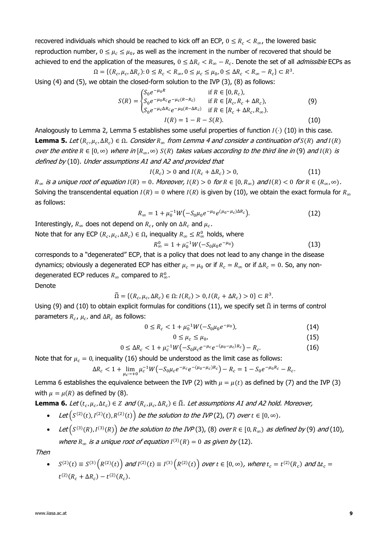recovered individuals which should be reached to kick off an ECP,  $0 \le R_c < R_{\infty}$ , the lowered basic reproduction number,  $0 \leq \mu_c \leq \mu_0$ , as well as the increment in the number of recovered that should be achieved to end the application of the measures,  $0 \leq \Delta R_c < R_\infty - R_c$ . Denote the set of all *admissible* ECPs as  $\Omega = \{ (R_c, \mu_c, \Delta R_c) : 0 \le R_c < R_{\infty}, 0 \le \mu_c \le \mu_0, 0 \le \Delta R_c < R_{\infty} - R_c \} \subset R^3.$ 

Using [\(4\)](#page-6-3) and [\(5\),](#page-6-2) we obtain the closed-form solution to the IVP [\(3\),](#page-6-1) [\(8\)](#page-7-2) as follows:

$$
S(R) = \begin{cases} S_0 e^{-\mu_0 R} & \text{if } R \in [0, R_c), \\ S_0 e^{-\mu_0 R_c} e^{-\mu_c (R - R_c)} & \text{if } R \in [R_c, R_c + \Delta R_c), \\ S_0 e^{-\mu_c \Delta R_c} e^{-\mu_0 (R - \Delta R_c)} & \text{if } R \in [R_c + \Delta R_c, R_\infty). \end{cases}
$$
(9)  

$$
I(R) = 1 - R - S(R). \tag{10}
$$

Analogously to Lemma 2, Lemma 5 establishes some useful properties of function  $I(\cdot)$  [\(10\)](#page-8-0) in this case. **Lemma 5.** Let ( $R_c$ ,  $\mu_c$ ,  $\Delta R_c$ )  $\in \Omega$ . Consider  $R_{\infty}$  from Lemma 4 and consider a continuation of S(R) and I(R) over the entire  $R \in [0, \infty)$  where in  $[R_\infty, \infty)$   $S(R)$  takes values according to the third line in [\(9\)](#page-8-1) and  $I(R)$  is defined by [\(10\)](#page-8-0). Under assumptions A1 and A2 and provided that

<span id="page-8-2"></span><span id="page-8-1"></span><span id="page-8-0"></span>
$$
I(R_c) > 0 \text{ and } I(R_c + \Delta R_c) > 0,
$$
\n
$$
(11)
$$

 $R_{\infty}$  is a unique root of equation  $I(R) = 0$ . Moreover,  $I(R) > 0$  for  $R \in [0, R_{\infty})$  and  $I(R) < 0$  for  $R \in (R_{\infty}, \infty)$ . Solving the transcendental equation  $I(R) = 0$  where  $I(R)$  is given by [\(10\),](#page-8-0) we obtain the exact formula for  $R_{\infty}$ as follows:

$$
R_{\infty} = 1 + \mu_0^{-1} W \big( -S_0 \mu_0 e^{-\mu_0} e^{(\mu_0 - \mu_c) \Delta R_c} \big). \tag{12}
$$

Interestingly,  $R_{\infty}$  does not depend on  $R_c$ , only on  $\Delta R_c$  and  $\mu_c$ .

Note that for any ECP  $(R_c, \mu_c, \Delta R_c) \in \Omega$ , inequality  $R_\infty \leq R_\infty^0$  holds, where

<span id="page-8-5"></span><span id="page-8-4"></span>
$$
R_{\infty}^{0} = 1 + \mu_{0}^{-1}W(-S_{0}\mu_{0}e^{-\mu_{0}})
$$
\n(13)

corresponds to a "degenerated" ECP, that is a policy that does not lead to any change in the disease dynamics; obviously a degenerated ECP has either  $\mu_c = \mu_0$  or if  $R_c = R_\infty$  or if  $\Delta R_c = 0$ . So, any nondegenerated ECP reduces  $R_{\infty}$  compared to  $R_{\infty}^{0}$ .

Denote

$$
\widehat{\Omega} = \{ (R_c, \mu_c, \Delta R_c) \in \Omega : I(R_c) > 0, I(R_c + \Delta R_c) > 0 \} \subset R^3.
$$

Using [\(9\)](#page-8-1) and [\(10\)](#page-8-0) to obtain explicit formulas for conditions [\(11\),](#page-8-2) we specify set  $\hat{\Omega}$  in terms of control parameters  $R_c$ ,  $\mu_c$ , and  $\Delta R_c$  as follows:

$$
0 \le R_c < 1 + \mu_0^{-1} W(-S_0 \mu_0 e^{-\mu_0}),\tag{14}
$$

<span id="page-8-7"></span><span id="page-8-6"></span><span id="page-8-3"></span>
$$
0 \le \mu_c \le \mu_0,\tag{15}
$$

$$
0 \leq \Delta R_c < 1 + \mu_c^{-1} W \left( -S_0 \mu_c e^{-\mu_c} e^{-(\mu_0 - \mu_c)R_c} \right) - R_c. \tag{16}
$$

Note that for  $\mu_c = 0$ , inequality [\(16\)](#page-8-3) should be understood as the limit case as follows:

$$
\Delta R_c < 1 + \lim_{\mu_c \to +0} \mu_c^{-1} W \left( -S_0 \mu_c e^{-\mu_c} e^{-(\mu_0 - \mu_c)R_c} \right) - R_c = 1 - S_0 e^{-\mu_0 R_c} - R_c.
$$

Lemma 6 establishes the equivalence between the IVP [\(2\)](#page-5-3) with  $\mu = \mu(t)$  as defined by [\(7\)](#page-7-1) and the IVP [\(3\)](#page-6-1) with  $\mu = \mu(R)$  as defined by [\(8\).](#page-7-2)

**Lemma 6.** Let  $(t_c, \mu_c, \Delta t_c) \in \mathbb{Z}$  and  $(R_c, \mu_c, \Delta R_c) \in \hat{\Omega}$ . Let assumptions A1 and A2 hold. Moreover,

- Let  $\bigl(S^{(2)}(t),I^{(2)}(t),R^{(2)}(t)\bigr)$  be the solution to the IVP[\(2\),](#page-5-3) [\(7\)](#page-7-1) over  $t\in[0,\infty)$ .
- Let  $(S^{(3)}(R), I^{(3)}(R))$  be the solution to the IVP[\(3\),](#page-6-1) [\(8\)](#page-7-2) over  $R \in [0, R_\infty)$  as defined by [\(9\)](#page-8-1) and [\(10\)](#page-8-0), where  $R_{\infty}$  is a unique root of equation  $I^{(3)}(R) = 0$  as given by [\(12\)](#page-8-4).

Then

• 
$$
S^{(2)}(t) \equiv S^{(3)}(R^{(2)}(t))
$$
 and  $I^{(2)}(t) \equiv I^{(3)}(R^{(2)}(t))$  over  $t \in [0, \infty)$ , where  $t_c = t^{(2)}(R_c)$  and  $\Delta t_c = t^{(2)}(R_c + \Delta R_c) - t^{(2)}(R_c)$ .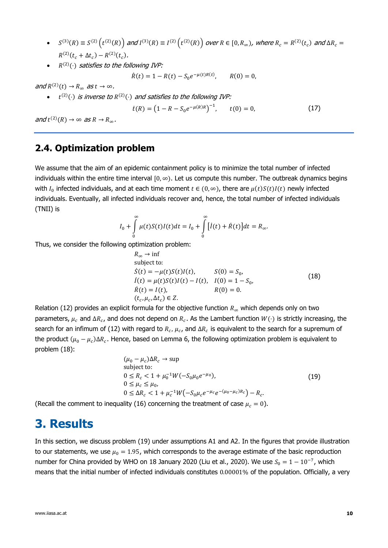- $S^{(3)}(R) \equiv S^{(2)}(t^{(2)}(R))$  and  $I^{(3)}(R) \equiv I^{(2)}(t^{(2)}(R))$  over  $R \in [0, R_{\infty})$ , where  $R_c = R^{(2)}(t_c)$  and  $\Delta R_c =$  $R^{(2)}(t_c + \Delta t_c) - R^{(2)}(t_c).$
- $\bullet$   $\quad$   $R^{(2)}(\cdot)$  satisfies to the following IVP:

 $\dot{R}(t) = 1 - R(t) - S_0 e^{-\mu(t)R(t)}$  $R(0) = 0$ .

and  $R^{(2)}(t) \rightarrow R_{\infty}$  as  $t \rightarrow \infty$ .

•  $t^{(2)}(\cdot)$  is inverse to  $R^{(2)}(\cdot)$  and satisfies to the following IVP:

<span id="page-9-4"></span>
$$
\dot{t}(R) = \left(1 - R - S_0 e^{-\mu(R)R}\right)^{-1}, \qquad t(0) = 0,\tag{17}
$$

and  $t^{(2)}(R) \to \infty$  as  $R \to R_{\infty}$ .

### <span id="page-9-0"></span>**2.4. Optimization problem**

We assume that the aim of an epidemic containment policy is to minimize the total number of infected individuals within the entire time interval  $[0, \infty)$ . Let us compute this number. The outbreak dynamics begins with  $I_0$  infected individuals, and at each time moment  $t \in (0, \infty)$ , there are  $\mu(t)S(t)I(t)$  newly infected individuals. Eventually, all infected individuals recover and, hence, the total number of infected individuals (TNII) is

$$
I_0 + \int_0^{\infty} \mu(t)S(t)I(t)dt = I_0 + \int_0^{\infty} [I(t) + \dot{R}(t)]dt = R_{\infty}.
$$

Thus, we consider the following optimization problem:

<span id="page-9-2"></span>
$$
R_{\infty} \to \inf\nsubject to:\n
$$
\dot{S}(t) = -\mu(t)S(t)I(t), \qquad S(0) = S_0,
$$
\n
$$
\dot{I}(t) = \mu(t)S(t)I(t) - I(t), \quad I(0) = 1 - S_0,
$$
\n
$$
\dot{R}(t) = I(t), \qquad R(0) = 0.
$$
\n
$$
(t_c, \mu_c, \Delta t_c) \in Z.
$$
\n(18)
$$

Relation [\(12\)](#page-8-4) provides an explicit formula for the objective function  $R_{\infty}$  which depends only on two parameters,  $\mu_c$  and  $\Delta R_c$ , and does not depend on  $R_c$ . As the Lambert function  $W(\cdot)$  is strictly increasing, the search for an infimum of [\(12\)](#page-8-4) with regard to  $R_c$ ,  $\mu_c$ , and  $\Delta R_c$  is equivalent to the search for a supremum of the product  $(\mu_0 - \mu_c)\Delta R_c$ . Hence, based on Lemma 6, the following optimization problem is equivalent to problem [\(18\):](#page-9-2)

<span id="page-9-3"></span>
$$
(\mu_0 - \mu_c) \Delta R_c \to \sup\nsubject to:\n0 \le R_c < 1 + \mu_0^{-1} W(-S_0 \mu_0 e^{-\mu_0}),\n0 \le \mu_c \le \mu_0,\n0 \le \Delta R_c < 1 + \mu_c^{-1} W(-S_0 \mu_c e^{-\mu_c} e^{-(\mu_0 - \mu_c)R_c}) - R_c.
$$
\n(19)

(Recall the comment to inequality [\(16\)](#page-8-3) concerning the treatment of case  $\mu_c = 0$ ).

## <span id="page-9-1"></span>**3. Results**

In this section, we discuss problem [\(19\)](#page-9-3) under assumptions A1 and A2. In the figures that provide illustration to our statements, we use  $\mu_0 = 1.95$ , which corresponds to the average estimate of the basic reproduction number for China provided by WHO on 18 January 2020 (Liu et al., 2020). We use  $S_0 = 1 - 10^{-7}$ , which means that the initial number of infected individuals constitutes 0.00001% of the population. Officially, a very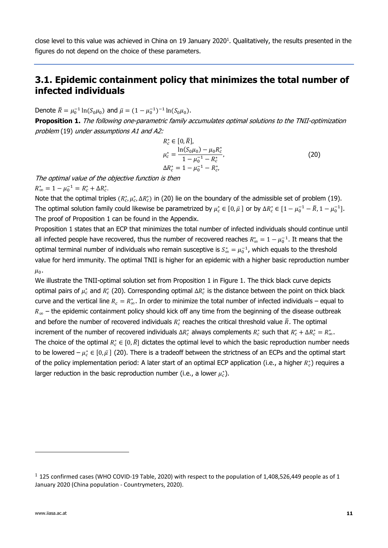close level to this value was achieved in China on 19 January 2020<sup>1</sup>. Qualitatively, the results presented in the figures do not depend on the choice of these parameters.

## <span id="page-10-0"></span>**3.1. Epidemic containment policy that minimizes the total number of infected individuals**

Denote  $\bar{R} = \mu_0^{-1} \ln(S_0 \mu_0)$  and  $\bar{\mu} = (1 - \mu_0^{-1})^{-1} \ln(S_0 \mu_0)$ .

**Proposition 1.** The following one-parametric family accumulates optimal solutions to the TNII-optimization problem [\(19\)](#page-9-3) under assumptions A1 and A2:

<span id="page-10-1"></span>
$$
R_c^* \in [0, \bar{R}],
$$
  
\n
$$
\mu_c^* = \frac{\ln(S_0 \mu_0) - \mu_0 R_c^*}{1 - \mu_0^{-1} - R_c^*},
$$
  
\n
$$
\Delta R_c^* = 1 - \mu_0^{-1} - R_c^*,
$$
\n(20)

The optimal value of the objective function is then

 $R^*_{\infty} = 1 - \mu_0^{-1} = R^*_{c} + \Delta R^*_{c}.$ 

Note that the optimal triples  $(R_c^*, \mu_c^*, \Delta R_c^*)$  in [\(20\)](#page-10-1) lie on the boundary of the admissible set of problem [\(19\).](#page-9-3) The optimal solution family could likewise be parametrized by  $\mu_c^* \in [0,\bar{\mu}]$  or by  $\Delta R_c^* \in [1-\mu_0^{-1}-\bar{R}, 1-\mu_0^{-1}]$ . The proof of Proposition 1 can be found in the Appendix.

Proposition 1 states that an ECP that minimizes the total number of infected individuals should continue until all infected people have recovered, thus the number of recovered reaches  $R^*_\infty = 1 - \mu_0^{-1}$ . It means that the optimal terminal number of individuals who remain susceptive is  $S^*_{\infty} = \mu_0^{-1}$ , which equals to the threshold value for herd immunity. The optimal TNII is higher for an epidemic with a higher basic reproduction number  $\mu_{0}$ .

We illustrate the TNII-optimal solution set from Proposition 1 in Figure 1. The thick black curve depicts optimal pairs of  $\mu_c^*$  and  $R_c^*$  [\(20\).](#page-10-1) Corresponding optimal  $\Delta R_c^*$  is the distance between the point on thick black curve and the vertical line  $R_c = R^*_{\infty}$ . In order to minimize the total number of infected individuals – equal to  $R_{\infty}$  – the epidemic containment policy should kick off any time from the beginning of the disease outbreak and before the number of recovered individuals  $R_c^*$  reaches the critical threshold value  $\bar{R}$ . The optimal increment of the number of recovered individuals  $\Delta R_c^*$  always complements  $R_c^*$  such that  $R_c^* + \Delta R_c^* = R_\infty^*$ . The choice of the optimal  $R_c^*\in[0,\bar{R}]$  dictates the optimal level to which the basic reproduction number needs to be lowered –  $\mu_c^*\in[0,\bar\mu]$  [\(20\).](#page-10-1) There is a tradeoff between the strictness of an ECPs and the optimal start of the policy implementation period: A later start of an optimal ECP application (i.e., a higher  $R_c^*$ ) requires a larger reduction in the basic reproduction number (i.e., a lower  $\mu_c^*$ ).

 $1$  125 confirmed cases (WHO COVID-19 Table, 2020) with respect to the population of 1,408,526,449 people as of 1 January 2020 (China population - Countrymeters, 2020).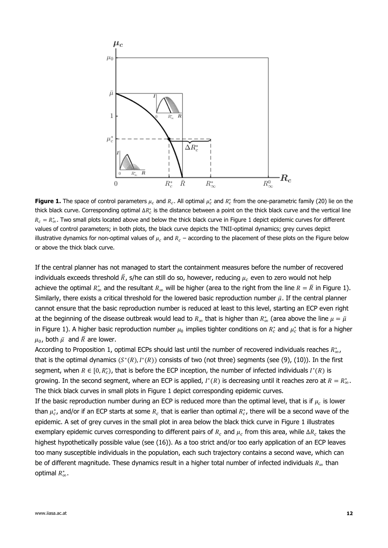

**Figure 1.** The space of control parameters  $\mu_c$  and  $R_c$ . All optimal  $\mu_c^*$  and  $R_c^*$  from the one-parametric famil[y \(20\)](#page-10-1) lie on the thick black curve. Corresponding optimal  $\Delta R_c^*$  is the distance between a point on the thick black curve and the vertical line  $R_c = R^*_{\infty}$ . Two small plots located above and below the thick black curve in Figure 1 depict epidemic curves for different values of control parameters; in both plots, the black curve depicts the TNII-optimal dynamics; grey curves depict illustrative dynamics for non-optimal values of  $\mu_c$  and  $R_c$  – according to the placement of these plots on the Figure below or above the thick black curve.

If the central planner has not managed to start the containment measures before the number of recovered individuals exceeds threshold  $\bar{R}$ , s/he can still do so, however, reducing  $\mu_c$  even to zero would not help achieve the optimal  $R^*_\infty$  and the resultant  $R_\infty$  will be higher (area to the right from the line  $R=\bar R$  in Figure 1). Similarly, there exists a critical threshold for the lowered basic reproduction number  $\bar{\mu}$ . If the central planner cannot ensure that the basic reproduction number is reduced at least to this level, starting an ECP even right at the beginning of the disease outbreak would lead to  $R_\infty$  that is higher than  $R_\infty^*$  (area above the line  $\mu=\bar\mu$ in Figure 1). A higher basic reproduction number  $\mu_0$  implies tighter conditions on  $R_c^*$  and  $\mu_c^*$  that is for a higher  $\mu_{0}$ , both  $\bar{\mu}$  and  $\bar{R}$  are lower.

According to Proposition 1, optimal ECPs should last until the number of recovered individuals reaches  $R^*_{\infty}$ , that is the optimal dynamics  $(S^*(R), I^*(R))$  consists of two (not three) segments (see [\(9\),](#page-8-1) [\(10\)\)](#page-8-0). In the first segment, when  $R \in [0, R_c^*)$ , that is before the ECP inception, the number of infected individuals  $I^*(R)$  is growing. In the second segment, where an ECP is applied,  $I^*(R)$  is decreasing until it reaches zero at  $R = R^*_{\infty}$ . The thick black curves in small plots in Figure 1 depict corresponding epidemic curves.

If the basic reproduction number during an ECP is reduced more than the optimal level, that is if  $\mu_c$  is lower than  $\mu_c^*$ , and/or if an ECP starts at some  $R_c$  that is earlier than optimal  $R_c^*$ , there will be a second wave of the epidemic. A set of grey curves in the small plot in area below the black thick curve in Figure 1 illustrates exemplary epidemic curves corresponding to different pairs of  $R_c$  and  $\mu_c$  from this area, while  $\Delta R_c$  takes the highest hypothetically possible value (see [\(16\)\)](#page-8-3). As a too strict and/or too early application of an ECP leaves too many susceptible individuals in the population, each such trajectory contains a second wave, which can be of different magnitude. These dynamics result in a higher total number of infected individuals  $R_{\infty}$  than optimal  $R^*_{\infty}$ .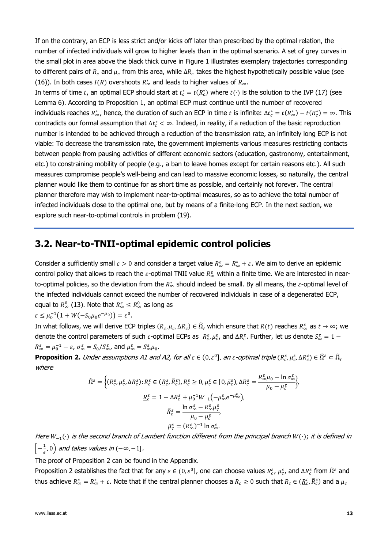If on the contrary, an ECP is less strict and/or kicks off later than prescribed by the optimal relation, the number of infected individuals will grow to higher levels than in the optimal scenario. A set of grey curves in the small plot in area above the black thick curve in Figure 1 illustrates exemplary trajectories corresponding to different pairs of  $R_c$  and  $\mu_c$  from this area, while  $\Delta R_c$  takes the highest hypothetically possible value (see [\(16\)\)](#page-8-3). In both cases  $I(R)$  overshoots  $R^*_{\infty}$  and leads to higher values of  $R_{\infty}$ .

In terms of time t, an optimal ECP should start at  $t_c^* = t(R_c^*)$  where  $t(\cdot)$  is the solution to the IVP [\(17\)](#page-9-4) (see Lemma 6). According to Proposition 1, an optimal ECP must continue until the number of recovered individuals reaches  $R^*_\infty$ , hence, the duration of such an ECP in time t is infinite:  $\Delta t_c^* = t(R^*_\infty) - t(R^*_c) = \infty$ . This contradicts our formal assumption that  $\Delta t_c^* < \infty$ . Indeed, in reality, if a reduction of the basic reproduction number is intended to be achieved through a reduction of the transmission rate, an infinitely long ECP is not viable: To decrease the transmission rate, the government implements various measures restricting contacts between people from pausing activities of different economic sectors (education, gastronomy, entertainment, etc.) to constraining mobility of people (e.g., a ban to leave homes except for certain reasons etc.). All such measures compromise people's well-being and can lead to massive economic losses, so naturally, the central planner would like them to continue for as short time as possible, and certainly not forever. The central planner therefore may wish to implement near-to-optimal measures, so as to achieve the total number of infected individuals close to the optimal one, but by means of a finite-long ECP. In the next section, we explore such near-to-optimal controls in problem [\(19\).](#page-9-3)

### <span id="page-12-0"></span>**3.2. Near-to-TNII-optimal epidemic control policies**

Consider a sufficiently small  $\varepsilon > 0$  and consider a target value  $R^{\varepsilon}_{\infty} = R^*_{\infty} + \varepsilon$ . We aim to derive an epidemic control policy that allows to reach the  $\varepsilon$ -optimal TNII value  $R_\infty^\varepsilon$  within a finite time. We are interested in nearto-optimal policies, so the deviation from the  $R^*_{\infty}$  should indeed be small. By all means, the  $\varepsilon$ -optimal level of the infected individuals cannot exceed the number of recovered individuals in case of a degenerated ECP, equal to  $R^0_\infty$  [\(13\).](#page-8-5) Note that  $R^{\varepsilon}_\infty\leq R^0_\infty$  as long as

$$
\varepsilon \le \mu_0^{-1} \big( 1 + W(-S_0 \mu_0 e^{-\mu_0}) \big) = \varepsilon^0.
$$

In what follows, we will derive ECP triples  $(R_c,\mu_c,\Delta R_c)\in\widehat\Omega$ , which ensure that  $R(t)$  reaches  $R_\infty^\varepsilon$  as  $t\to\infty$ ; we denote the control parameters of such  $\varepsilon$ -optimal ECPs as  $R_c^{\varepsilon}$ ,  $\mu_c^{\varepsilon}$ , and  $\Delta R_c^{\varepsilon}$ . Further, let us denote  $S_{\infty}^{\varepsilon} = 1$  –  $R^{\varepsilon}_{\infty} = \mu_0^{-1} - \varepsilon$ ,  $\sigma^{\varepsilon}_{\infty} = S_0/S^{\varepsilon}_{\infty}$ , and  $\mu^{\varepsilon}_{\infty} = S^{\varepsilon}_{\infty}\mu_0$ .

**Proposition 2.** Under assumptions A1 and A2, for all  $\varepsilon \in (0, \varepsilon^0]$ , an  $\varepsilon$ -optimal triple  $(R_c^{\varepsilon}, \mu_c^{\varepsilon}, \Delta R_c^{\varepsilon}) \in \widehat{\Omega}^{\varepsilon} \subset \widehat{\Omega}$ , where

$$
\widehat{\Omega}^{\varepsilon} = \left\{ (R^{\varepsilon}_{c}, \mu^{\varepsilon}_{c}, \Delta R^{\varepsilon}_{c}) : R^{\varepsilon}_{c} \in (\underline{R}^{\varepsilon}_{c}, \overline{R}^{\varepsilon}_{c}), R^{\varepsilon}_{c} \ge 0, \mu^{\varepsilon}_{c} \in [0, \overline{\mu}^{\varepsilon}_{c}), \Delta R^{\varepsilon}_{c} = \frac{R^{\varepsilon}_{\infty} \mu_{0} - \ln \sigma^{\varepsilon}_{\infty}}{\mu_{0} - \mu^{\varepsilon}_{c}} \right\},
$$
\n
$$
\frac{R^{\varepsilon}_{c}}{R^{\varepsilon}} = 1 - \Delta R^{\varepsilon}_{c} + \mu_{0}^{-1} W_{-1} \left( -\mu^{\varepsilon}_{\infty} e^{-\mu^{\varepsilon}_{\infty}} \right),
$$
\n
$$
\overline{R}^{\varepsilon}_{c} = \frac{\ln \sigma^{\varepsilon}_{\infty} - R^{\varepsilon}_{\infty} \mu^{\varepsilon}_{c}}{\mu_{0} - \mu^{\varepsilon}_{c}},
$$
\n
$$
\overline{\mu}^{\varepsilon}_{c} = (R^{\varepsilon}_{\infty})^{-1} \ln \sigma^{\varepsilon}_{\infty}.
$$

Here  $W_{-1}(\cdot)$  is the second branch of Lambert function different from the principal branch  $W(\cdot)$ ; it is defined in  $\left[-\frac{1}{2}\right]$  $\frac{1}{e}$ , 0) and takes values in (−∞,−1].

The proof of Proposition 2 can be found in the Appendix.

Proposition 2 establishes the fact that for any  $\varepsilon \in (0,\varepsilon^0]$ , one can choose values  $R_\varepsilon^\varepsilon$ ,  $\mu_\varepsilon^\varepsilon$ , and  $\Delta R_\varepsilon^\varepsilon$  from  $\widehat\Omega^\varepsilon$  and thus achieve  $R_\infty^\varepsilon=R_\infty^*+\varepsilon$ . Note that if the central planner chooses a  $R_c\geq0$  such that  $R_c\in(\underline{R}_c^\varepsilon,\bar{R}_c^\varepsilon)$  and a  $\mu_c$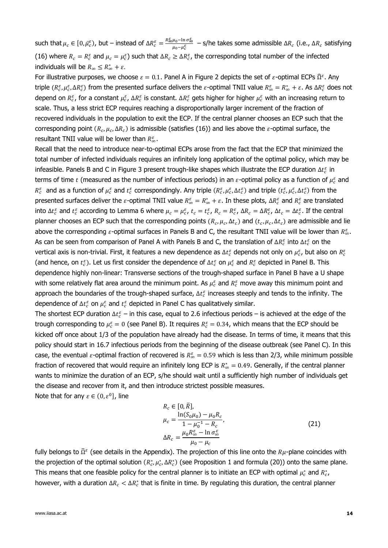such that  $\mu_c \in [0,\bar{\mu}_c^{\varepsilon})$ , but – instead of  $\Delta R_c^{\varepsilon} = \frac{R_{\infty}^{\varepsilon}\mu_0 - \ln \sigma_{\infty}^{\varepsilon}}{\mu_0 - \mu^{\varepsilon}}$  $\frac{\mu_0 - m \, \sigma_{\infty}}{\mu_0 - \mu_c^{\varepsilon}}$  – s/he takes some admissible ΔR<sub>c</sub> (i.e., ΔR<sub>c</sub> satisfying [\(16\)](#page-8-3) where  $R_c = R_c^{\varepsilon}$  and  $\mu_c = \mu_c^{\varepsilon}$ ) such that  $\Delta R_c \geq \Delta R_c^{\varepsilon}$ , the corresponding total number of the infected individuals will be  $R_{\infty} \leq R_{\infty}^* + \varepsilon$ .

For illustrative purposes, we choose  $\varepsilon = 0.1$ . Panel A in Figure 2 depicts the set of  $\varepsilon$ -optimal ECPs  $\widehat{\Omega}^{\varepsilon}$ . Any triple  $(R_c^{\varepsilon},\mu_c^{\varepsilon},\Delta R_c^{\varepsilon})$  from the presented surface delivers the  $\varepsilon$ -optimal TNII value  $R_\infty^{\varepsilon}=R_\infty^*+\varepsilon$ . As  $\Delta R_c^{\varepsilon}$  does not depend on  $R_c^{\varepsilon}$ , for a constant  $\mu_c^{\varepsilon}$ ,  $\Delta R_c^{\varepsilon}$  is constant.  $\Delta R_c^{\varepsilon}$  gets higher for higher  $\mu_c^{\varepsilon}$  with an increasing return to scale. Thus, a less strict ECP requires reaching a disproportionally larger increment of the fraction of recovered individuals in the population to exit the ECP. If the central planner chooses an ECP such that the corresponding point  $(R_c,\mu_c,\Delta R_c)$  is admissible (satisfies [\(16\)\)](#page-8-3) and lies above the  $\varepsilon$ -optimal surface, the resultant TNII value will be lower than  $R_{\infty}^{\varepsilon}$ .

Recall that the need to introduce near-to-optimal ECPs arose from the fact that the ECP that minimized the total number of infected individuals requires an infinitely long application of the optimal policy, which may be infeasible. Panels B and C in Figure 3 present trough-like shapes which illustrate the ECP duration  $\Delta t_c^{\varepsilon}$  in terms of time  $t$  (measured as the number of infectious periods) in an  $\varepsilon$ -optimal policy as a function of  $\mu_c^\varepsilon$  and  $R_c^{\varepsilon}$  and as a function of  $\mu_c^{\varepsilon}$  and  $t_c^{\varepsilon}$  correspondingly. Any triple  $(R_c^{\varepsilon},\mu_c^{\varepsilon},\Delta t_c^{\varepsilon})$  and triple  $(t_c^{\varepsilon},\mu_c^{\varepsilon},\Delta t_c^{\varepsilon})$  from the presented surfaces deliver the  $\varepsilon$ -optimal TNII value  $R^{\varepsilon}_{\infty}=R^*_{\infty}+\varepsilon$ . In these plots,  $\Delta R^{\varepsilon}_{c}$  and  $R^{\varepsilon}_{c}$  are translated into  $\Delta t_c^{\varepsilon}$  and  $t_c^{\varepsilon}$  according to Lemma 6 where  $\mu_c = \mu_c^{\varepsilon}$ ,  $t_c = t_c^{\varepsilon}$ ,  $R_c = R_c^{\varepsilon}$ ,  $\Delta R_c = \Delta R_c^{\varepsilon}$ ,  $\Delta t_c = \Delta t_c^{\varepsilon}$ . If the central planner chooses an ECP such that the corresponding points  $(R_c,\mu_c,\Delta t_c)$  and  $(t_c,\mu_c,\Delta t_c)$  are admissible and lie above the corresponding  $\varepsilon$ -optimal surfaces in Panels B and C, the resultant TNII value will be lower than  $R_\infty^\varepsilon$ . As can be seen from comparison of Panel A with Panels B and C, the translation of  $\Delta R_c^\varepsilon$  into  $\Delta t_c^\varepsilon$  on the vertical axis is non-trivial. First, it features a new dependence as  $\Delta t_c^{\varepsilon}$  depends not only on  $\mu_c^\varepsilon$ , but also on  $R_c^{\varepsilon}$ (and hence, on  $t_c^{\varepsilon}$ ). Let us first consider the dependence of  $\Delta t_c^{\varepsilon}$  on  $\mu_c^{\varepsilon}$  and  $R_c^{\varepsilon}$  depicted in Panel B. This dependence highly non-linear: Transverse sections of the trough-shaped surface in Panel B have a U shape with some relatively flat area around the minimum point. As  $\mu_c^\varepsilon$  and  $R_c^\varepsilon$  move away this minimum point and approach the boundaries of the trough-shaped surface,  $\Delta t_c^{\varepsilon}$  increases steeply and tends to the infinity. The dependence of  $\Delta t_{c}^{\varepsilon}$  on  $\mu_{c}^{\varepsilon}$  and  $t_{c}^{\varepsilon}$  depicted in Panel C has qualitatively similar.

The shortest ECP duration  $\Delta t_c^{\varepsilon}$  – in this case, equal to 2.6 infectious periods – is achieved at the edge of the trough corresponding to  $\mu_c^{\varepsilon} = 0$  (see Panel B). It requires  $R_c^{\varepsilon} = 0.34$ , which means that the ECP should be kicked off once about 1/3 of the population have already had the disease. In terms of time, it means that this policy should start in 16.7 infectious periods from the beginning of the disease outbreak (see Panel C). In this case, the eventual  $\varepsilon$ -optimal fraction of recovered is  $R^{\varepsilon}_{\infty} = 0.59$  which is less than 2/3, while minimum possible fraction of recovered that would require an infinitely long ECP is  $R^*_{\infty} = 0.49$ . Generally, if the central planner wants to minimize the duration of an ECP, s/he should wait until a sufficiently high number of individuals get the disease and recover from it, and then introduce strictest possible measures. Note that for any  $\varepsilon \in (0, \varepsilon^0]$ , line

<span id="page-13-0"></span>
$$
R_c \in [0, \bar{R}],
$$
  
\n
$$
\mu_c = \frac{\ln(S_0 \mu_0) - \mu_0 R_c}{1 - \mu_0^{-1} - R_c},
$$
  
\n
$$
\Delta R_c = \frac{\mu_0 R_{\infty}^{\varepsilon} - \ln \sigma_{\infty}^{\varepsilon}}{\mu_0 - \mu_c}
$$
\n(21)

fully belongs to  $\widehat{\Omega}^{\varepsilon}$  (see details in the Appendix). The projection of this line onto the  $R\mu$ -plane coincides with the projection of the optimal solution  $(R_c^*, \mu_c^*, \Delta R_c^*)$  (see Proposition 1 and formula [\(20\)\)](#page-10-1) onto the same plane. This means that one feasible policy for the central planner is to initiate an ECP with optimal  $\mu_c^*$  and  $R_c^*$ , however, with a duration  $\Delta R_c < \Delta R_c^*$  that is finite in time. By regulating this duration, the central planner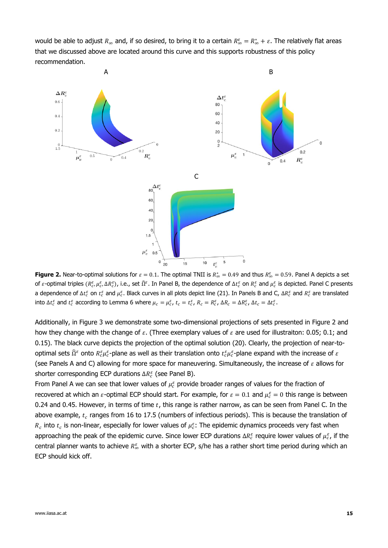would be able to adjust  $R_\infty$  and, if so desired, to bring it to a certain  $R_\infty^\varepsilon=R_\infty^*+\varepsilon$ . The relatively flat areas that we discussed above are located around this curve and this supports robustness of this policy recommendation.



**Figure 2.** Near-to-optimal solutions for  $\varepsilon = 0.1$ . The optimal TNII is  $R^*_{\infty} = 0.49$  and thus  $R^{\varepsilon}_{\infty} = 0.59$ . Panel A depicts a set of  $\varepsilon$ -optimal triples  $(R_c^\varepsilon,\mu_c^\varepsilon,\Delta R_c^\varepsilon)$ , i.e., set  $\widehat\Omega^\varepsilon$ . In Panel B, the dependence of  $\Delta t_c^\varepsilon$  on  $R_c^\varepsilon$  and  $\mu_c^\varepsilon$  is depicted. Panel C presents a dependence of  $\Delta t_c^\varepsilon$  on  $t_c^\varepsilon$  and  $\mu_c^\varepsilon$ . Black curves in all plots depict line [\(21\).](#page-13-0) In Panels B and C,  $\Delta R_c^\varepsilon$  and  $R_c^\varepsilon$  are translated into  $\Delta t_c^{\varepsilon}$  and  $t_c^{\varepsilon}$  according to Lemma 6 where  $\mu_c = \mu_c^{\varepsilon}$ ,  $t_c = t_c^{\varepsilon}$ ,  $R_c = R_c^{\varepsilon}$ ,  $\Delta R_c = \Delta R_c^{\varepsilon}$ ,  $\Delta t_c = \Delta t_c^{\varepsilon}$ .

Additionally, in Figure 3 we demonstrate some two-dimensional projections of sets presented in Figure 2 and how they change with the change of  $\varepsilon$ . (Three exemplary values of  $\varepsilon$  are used for illustraiton: 0.05; 0.1; and 0.15). The black curve depicts the projection of the optimal solution [\(20\).](#page-10-1) Clearly, the projection of near-tooptimal sets  $\widehat{\Omega}^{\varepsilon}$  onto  $R_{c}^{\varepsilon}\mu_{c}^{\varepsilon}$ -plane as well as their translation onto  $t_{c}^{\varepsilon}\mu_{c}^{\varepsilon}$ -plane expand with the increase of  $\varepsilon$ (see Panels A and C) allowing for more space for maneuvering. Simultaneously, the increase of  $\varepsilon$  allows for shorter corresponding ECP durations  $\Delta R_c^{\varepsilon}$  (see Panel B).

From Panel A we can see that lower values of  $\mu_c^{\varepsilon}$  provide broader ranges of values for the fraction of recovered at which an  $\varepsilon$ -optimal ECP should start. For example, for  $\varepsilon = 0.1$  and  $\mu_c^{\varepsilon} = 0$  this range is between 0.24 and 0.45. However, in terms of time  $t$ , this range is rather narrow, as can be seen from Panel C. In the above example,  $t_c$  ranges from 16 to 17.5 (numbers of infectious periods). This is because the translation of  $R_c$  into  $t_c$  is non-linear, especially for lower values of  $\mu_c^{\varepsilon}$ : The epidemic dynamics proceeds very fast when approaching the peak of the epidemic curve. Since lower ECP durations  $\Delta R_c^{\varepsilon}$  require lower values of  $\mu_c^{\varepsilon}$ , if the central planner wants to achieve  $R_{\infty}^{\varepsilon}$  with a shorter ECP, s/he has a rather short time period during which an ECP should kick off.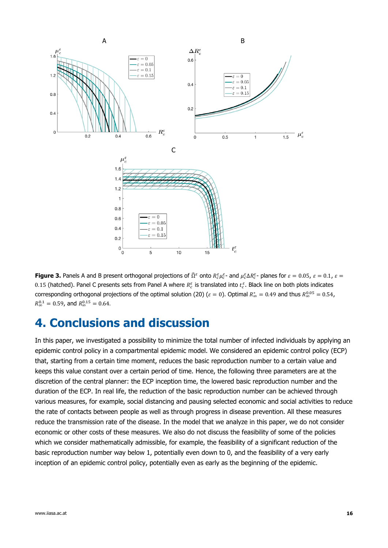

**Figure 3.** Panels A and B present orthogonal projections of  $\hat{\Omega}^{\varepsilon}$  onto  $R_{c}^{\varepsilon}\mu_{c}^{\varepsilon}$ - and  $\mu_{c}^{\varepsilon}\Delta R_{c}^{\varepsilon}$ - planes for  $\varepsilon=0.05$ ,  $\varepsilon=0.1$ ,  $\varepsilon=$ 0.15 (hatched). Panel C presents sets from Panel A where  $R_c^{\varepsilon}$  is translated into  $t_c^{\varepsilon}$ . Black line on both plots indicates corresponding orthogonal projections of the optimal solution [\(20\)](#page-10-1) ( $\varepsilon = 0$ ). Optimal  $R^*_\infty = 0.49$  and thus  $R^{0.05}_\infty = 0.54$ ,  $R_{\infty}^{0.1} = 0.59$ , and  $R_{\infty}^{0.15} = 0.64$ .

## <span id="page-15-0"></span>**4. Conclusions and discussion**

In this paper, we investigated a possibility to minimize the total number of infected individuals by applying an epidemic control policy in a compartmental epidemic model. We considered an epidemic control policy (ECP) that, starting from a certain time moment, reduces the basic reproduction number to a certain value and keeps this value constant over a certain period of time. Hence, the following three parameters are at the discretion of the central planner: the ECP inception time, the lowered basic reproduction number and the duration of the ECP. In real life, the reduction of the basic reproduction number can be achieved through various measures, for example, social distancing and pausing selected economic and social activities to reduce the rate of contacts between people as well as through progress in disease prevention. All these measures reduce the transmission rate of the disease. In the model that we analyze in this paper, we do not consider economic or other costs of these measures. We also do not discuss the feasibility of some of the policies which we consider mathematically admissible, for example, the feasibility of a significant reduction of the basic reproduction number way below 1, potentially even down to 0, and the feasibility of a very early inception of an epidemic control policy, potentially even as early as the beginning of the epidemic.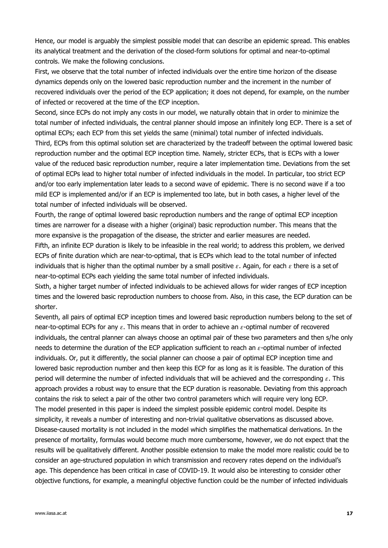Hence, our model is arguably the simplest possible model that can describe an epidemic spread. This enables its analytical treatment and the derivation of the closed-form solutions for optimal and near-to-optimal controls. We make the following conclusions.

First, we observe that the total number of infected individuals over the entire time horizon of the disease dynamics depends only on the lowered basic reproduction number and the increment in the number of recovered individuals over the period of the ECP application; it does not depend, for example, on the number of infected or recovered at the time of the ECP inception.

Second, since ECPs do not imply any costs in our model, we naturally obtain that in order to minimize the total number of infected individuals, the central planner should impose an infinitely long ECP. There is a set of optimal ECPs; each ECP from this set yields the same (minimal) total number of infected individuals. Third, ECPs from this optimal solution set are characterized by the tradeoff between the optimal lowered basic reproduction number and the optimal ECP inception time. Namely, stricter ECPs, that is ECPs with a lower value of the reduced basic reproduction number, require a later implementation time. Deviations from the set of optimal ECPs lead to higher total number of infected individuals in the model. In particular, too strict ECP and/or too early implementation later leads to a second wave of epidemic. There is no second wave if a too mild ECP is implemented and/or if an ECP is implemented too late, but in both cases, a higher level of the total number of infected individuals will be observed.

Fourth, the range of optimal lowered basic reproduction numbers and the range of optimal ECP inception times are narrower for a disease with a higher (original) basic reproduction number. This means that the more expansive is the propagation of the disease, the stricter and earlier measures are needed.

Fifth, an infinite ECP duration is likely to be infeasible in the real world; to address this problem, we derived ECPs of finite duration which are near-to-optimal, that is ECPs which lead to the total number of infected individuals that is higher than the optimal number by a small positive  $\varepsilon$ . Again, for each  $\varepsilon$  there is a set of near-to-optimal ECPs each yielding the same total number of infected individuals.

Sixth, a higher target number of infected individuals to be achieved allows for wider ranges of ECP inception times and the lowered basic reproduction numbers to choose from. Also, in this case, the ECP duration can be shorter.

Seventh, all pairs of optimal ECP inception times and lowered basic reproduction numbers belong to the set of near-to-optimal ECPs for any  $\varepsilon$ . This means that in order to achieve an  $\varepsilon$ -optimal number of recovered individuals, the central planner can always choose an optimal pair of these two parameters and then s/he only needs to determine the duration of the ECP application sufficient to reach an  $\varepsilon$ -optimal number of infected individuals. Or, put it differently, the social planner can choose a pair of optimal ECP inception time and lowered basic reproduction number and then keep this ECP for as long as it is feasible. The duration of this period will determine the number of infected individuals that will be achieved and the corresponding  $\varepsilon$ . This approach provides a robust way to ensure that the ECP duration is reasonable. Deviating from this approach contains the risk to select a pair of the other two control parameters which will require very long ECP. The model presented in this paper is indeed the simplest possible epidemic control model. Despite its simplicity, it reveals a number of interesting and non-trivial qualitative observations as discussed above. Disease-caused mortality is not included in the model which simplifies the mathematical derivations. In the presence of mortality, formulas would become much more cumbersome, however, we do not expect that the results will be qualitatively different. Another possible extension to make the model more realistic could be to consider an age-structured population in which transmission and recovery rates depend on the individual's age. This dependence has been critical in case of COVID-19. It would also be interesting to consider other objective functions, for example, a meaningful objective function could be the number of infected individuals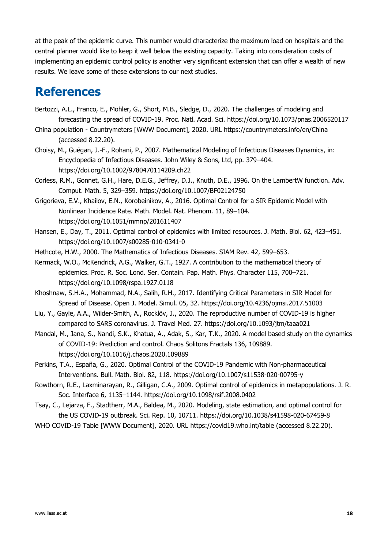at the peak of the epidemic curve. This number would characterize the maximum load on hospitals and the central planner would like to keep it well below the existing capacity. Taking into consideration costs of implementing an epidemic control policy is another very significant extension that can offer a wealth of new results. We leave some of these extensions to our next studies.

## <span id="page-17-0"></span>**References**

- Bertozzi, A.L., Franco, E., Mohler, G., Short, M.B., Sledge, D., 2020. The challenges of modeling and forecasting the spread of COVID-19. Proc. Natl. Acad. Sci. https://doi.org/10.1073/pnas.2006520117
- China population Countrymeters [WWW Document], 2020. URL https://countrymeters.info/en/China (accessed 8.22.20).
- Choisy, M., Guégan, J.-F., Rohani, P., 2007. Mathematical Modeling of Infectious Diseases Dynamics, in: Encyclopedia of Infectious Diseases. John Wiley & Sons, Ltd, pp. 379–404. https://doi.org/10.1002/9780470114209.ch22
- Corless, R.M., Gonnet, G.H., Hare, D.E.G., Jeffrey, D.J., Knuth, D.E., 1996. On the LambertW function. Adv. Comput. Math. 5, 329–359. https://doi.org/10.1007/BF02124750
- Grigorieva, E.V., Khailov, E.N., Korobeinikov, A., 2016. Optimal Control for a SIR Epidemic Model with Nonlinear Incidence Rate. Math. Model. Nat. Phenom. 11, 89–104. https://doi.org/10.1051/mmnp/201611407
- Hansen, E., Day, T., 2011. Optimal control of epidemics with limited resources. J. Math. Biol. 62, 423–451. https://doi.org/10.1007/s00285-010-0341-0
- Hethcote, H.W., 2000. The Mathematics of Infectious Diseases. SIAM Rev. 42, 599–653.
- Kermack, W.O., McKendrick, A.G., Walker, G.T., 1927. A contribution to the mathematical theory of epidemics. Proc. R. Soc. Lond. Ser. Contain. Pap. Math. Phys. Character 115, 700–721. https://doi.org/10.1098/rspa.1927.0118
- Khoshnaw, S.H.A., Mohammad, N.A., Salih, R.H., 2017. Identifying Critical Parameters in SIR Model for Spread of Disease. Open J. Model. Simul. 05, 32. https://doi.org/10.4236/ojmsi.2017.51003
- Liu, Y., Gayle, A.A., Wilder-Smith, A., Rocklöv, J., 2020. The reproductive number of COVID-19 is higher compared to SARS coronavirus. J. Travel Med. 27. https://doi.org/10.1093/jtm/taaa021
- Mandal, M., Jana, S., Nandi, S.K., Khatua, A., Adak, S., Kar, T.K., 2020. A model based study on the dynamics of COVID-19: Prediction and control. Chaos Solitons Fractals 136, 109889. https://doi.org/10.1016/j.chaos.2020.109889
- Perkins, T.A., España, G., 2020. Optimal Control of the COVID-19 Pandemic with Non-pharmaceutical Interventions. Bull. Math. Biol. 82, 118. https://doi.org/10.1007/s11538-020-00795-y
- Rowthorn, R.E., Laxminarayan, R., Gilligan, C.A., 2009. Optimal control of epidemics in metapopulations. J. R. Soc. Interface 6, 1135–1144. https://doi.org/10.1098/rsif.2008.0402
- Tsay, C., Lejarza, F., Stadtherr, M.A., Baldea, M., 2020. Modeling, state estimation, and optimal control for the US COVID-19 outbreak. Sci. Rep. 10, 10711. https://doi.org/10.1038/s41598-020-67459-8
- WHO COVID-19 Table [WWW Document], 2020. URL https://covid19.who.int/table (accessed 8.22.20).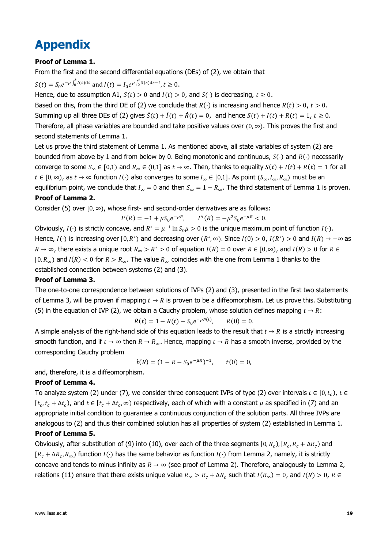## <span id="page-18-0"></span>**Appendix**

#### **Proof of Lemma 1.**

From the first and the second differential equations (DEs) of [\(2\),](#page-5-3) we obtain that

 $S(t) = S_0 e^{-\mu \int_0^t I(s) ds}$  and  $I(t) = I_0 e^{\mu \int_0^t S(s) ds - t}, t \ge 0$ .

Hence, due to assumption A1,  $S(t) > 0$  and  $I(t) > 0$ , and  $S(\cdot)$  is decreasing,  $t \ge 0$ .

Based on this, from the third DE of [\(2\)](#page-5-3) we conclude that  $R(\cdot)$  is increasing and hence  $R(t) > 0$ ,  $t > 0$ . Summing up all three DEs of [\(2\)](#page-5-3) gives  $\dot{S}(t) + \dot{I}(t) + \dot{R}(t) = 0$ , and hence  $S(t) + I(t) + R(t) = 1$ ,  $t \ge 0$ . Therefore, all phase variables are bounded and take positive values over  $(0, \infty)$ . This proves the first and second statements of Lemma 1.

Let us prove the third statement of Lemma 1. As mentioned above, all state variables of system [\(2\)](#page-5-3) are bounded from above by 1 and from below by 0. Being monotonic and continuous,  $S(\cdot)$  and  $R(\cdot)$  necessarily converge to some  $S_\infty \in [0,1)$  and  $R_\infty \in (0,1]$  as  $t \to \infty$ . Then, thanks to equality  $S(t) + I(t) + R(t) = 1$  for all  $t \in [0, \infty)$ , as  $t \to \infty$  function  $I(\cdot)$  also converges to some  $I_\infty \in [0,1]$ . As point  $(S_\infty, I_\infty, R_\infty)$  must be an equilibrium point, we conclude that  $I_\infty = 0$  and then  $S_\infty = 1 - R_\infty$ . The third statement of Lemma 1 is proven.

#### **Proof of Lemma 2.**

Consider [\(5\)](#page-6-2) over  $[0, \infty)$ , whose first- and second-order derivatives are as follows:

$$
I'(R) = -1 + \mu S_0 e^{-\mu R}, \qquad I''(R) = -\mu^2 S_0 e^{-\mu R} < 0.
$$

Obviously,  $I(\cdot)$  is strictly concave, and  $R^* = \mu^{-1} \ln S_0 \mu > 0$  is the unique maximum point of function  $I(\cdot)$ . Hence,  $I(\cdot)$  is increasing over  $[0, R^*)$  and decreasing over  $(R^*, \infty)$ . Since  $I(0) > 0$ ,  $I(R^*) > 0$  and  $I(R) \to -\infty$  as  $R \to \infty$ , there exists a unique root  $R_\infty > R^* > 0$  of equation  $I(R) = 0$  over  $R \in [0, \infty)$ , and  $I(R) > 0$  for  $R \in$  $[0, R_{\infty})$  and  $I(R) < 0$  for  $R > R_{\infty}$ . The value  $R_{\infty}$  coincides with the one from Lemma 1 thanks to the established connection between systems [\(2\)](#page-5-3) and [\(3\).](#page-6-1)

#### **Proof of Lemma 3.**

The one-to-one correspondence between solutions of IVPs [\(2\)](#page-5-3) and [\(3\),](#page-6-1) presented in the first two statements of Lemma 3, will be proven if mapping  $t \to R$  is proven to be a diffeomorphism. Let us prove this. Substituting [\(5\)](#page-6-2) in the equation of IVP [\(2\),](#page-5-3) we obtain a Cauchy problem, whose solution defines mapping  $t \to R$ :

$$
\dot{R}(t) = 1 - R(t) - S_0 e^{-\mu R(t)}, \qquad R(0) = 0.
$$

A simple analysis of the right-hand side of this equation leads to the result that  $t \to R$  is a strictly increasing smooth function, and if  $t \to \infty$  then  $R \to R_\infty$ . Hence, mapping  $t \to R$  has a smooth inverse, provided by the corresponding Cauchy problem

$$
\dot{t}(R) = (1 - R - S_0 e^{-\mu R})^{-1}, \qquad t(0) = 0,
$$

and, therefore, it is a diffeomorphism.

#### **Proof of Lemma 4.**

To analyze system [\(2\)](#page-5-3) under [\(7\),](#page-7-1) we consider three consequent IVPs of type (2) over intervals  $t \in [0,t_c)$ ,  $t \in$  $[t_c, t_c + \Delta t_c)$ , and  $t \in [t_c + \Delta t_c, \infty)$  respectively, each of which with a constant  $\mu$  as specified in [\(7\)](#page-7-1) and an appropriate initial condition to guarantee a continuous conjunction of the solution parts. All three IVPs are analogous to [\(2\)](#page-5-3) and thus their combined solution has all properties of system [\(2\)](#page-5-3) established in Lemma 1.

#### **Proof of Lemma 5.**

Obviously, after substitution of [\(9\)](#page-8-1) into [\(10\),](#page-8-0) over each of the three segments  $[0,R_c)$ ,  $[R_c,R_c+\Delta R_c)$  and  $[R_c + \Delta R_c, R_\infty)$  function  $I(\cdot)$  has the same behavior as function  $I(\cdot)$  from Lemma 2, namely, it is strictly concave and tends to minus infinity as  $R \to \infty$  (see proof of Lemma 2). Therefore, analogously to Lemma 2, relations [\(11\)](#page-8-2) ensure that there exists unique value  $R_\infty > R_c + \Delta R_c$  such that  $I(R_\infty) = 0$ , and  $I(R) > 0$ ,  $R \in$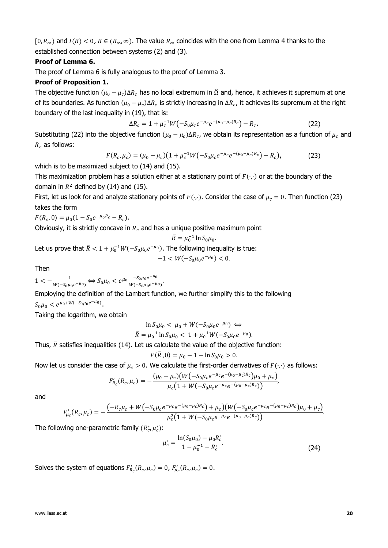$[0, R_{\infty})$  and  $I(R) < 0$ ,  $R \in (R_{\infty}, \infty)$ . The value  $R_{\infty}$  coincides with the one from Lemma 4 thanks to the established connection between systems [\(2\)](#page-5-3) and [\(3\).](#page-6-1)

#### **Proof of Lemma 6.**

The proof of Lemma 6 is fully analogous to the proof of Lemma 3.

#### **Proof of Proposition 1.**

The objective function  $(\mu_0 - \mu_c)\Delta R_c$  has no local extremum in  $\widehat{\Omega}$  and, hence, it achieves it supremum at one of its boundaries. As function  $(\mu_0 - \mu_c)\Delta R_c$  is strictly increasing in  $\Delta R_c$ , it achieves its supremum at the right boundary of the last inequality in [\(19\),](#page-9-3) that is:

<span id="page-19-0"></span>
$$
\Delta R_c = 1 + \mu_c^{-1} W \left( -S_0 \mu_c e^{-\mu_c} e^{-(\mu_0 - \mu_c) R_c} \right) - R_c.
$$
 (22)

Substituting [\(22\)](#page-19-0) into the objective function  $(\mu_0 - \mu_c) \Delta R_c$ , we obtain its representation as a function of  $\mu_c$  and  $R_c$  as follows:

$$
F(R_c, \mu_c) = (\mu_0 - \mu_c)(1 + \mu_c^{-1}W(-S_0\mu_c e^{-\mu_c}e^{-(\mu_0 - \mu_c)R_c}) - R_c),
$$
 (23)

which is to be maximized subject to [\(14\)](#page-8-6) and [\(15\).](#page-8-7)

This maximization problem has a solution either at a stationary point of  $F(\cdot, \cdot)$  or at the boundary of the domain in  $R^2$  defined by [\(14\)](#page-8-6) and [\(15\).](#page-8-7)

First, let us look for and analyze stationary points of  $F(\cdot,\cdot)$ . Consider the case of  $\mu_c = 0$ . Then function [\(23\)](#page-19-1) takes the form

$$
F(R_c, 0) = \mu_0 (1 - S_0 e^{-\mu_0 R_c} - R_c).
$$

Obviously, it is strictly concave in  $R_c$  and has a unique positive maximum point

<span id="page-19-1"></span>
$$
\bar{R} = \mu_0^{-1} \ln S_0 \mu_0.
$$

Let us prove that  $\bar{R} < 1 + \mu_0^{-1}W(-S_0\mu_0 e^{-\mu_0})$ . The following inequality is true:

$$
-1 < W(-S_0\mu_0 e^{-\mu_0}) < 0.
$$

Then

 $1 < -\frac{1}{\sqrt{1 - \frac{1}{2}}\sqrt{1 - \frac{1}{2}}\sqrt{1 - \frac{1}{2}}\sqrt{1 - \frac{1}{2}}\sqrt{1 - \frac{1}{2}}\sqrt{1 - \frac{1}{2}}\sqrt{1 - \frac{1}{2}}\sqrt{1 - \frac{1}{2}}\sqrt{1 - \frac{1}{2}}\sqrt{1 - \frac{1}{2}}\sqrt{1 - \frac{1}{2}}\sqrt{1 - \frac{1}{2}}\sqrt{1 - \frac{1}{2}}\sqrt{1 - \frac{1}{2}}\sqrt{1 - \frac{1}{2}}\sqrt{1 - \frac{1}{2}}\sqrt{1 - \frac{1}{2}}\sqrt{1 - \frac{$  $\frac{1}{W(-S_0\mu_0e^{-\mu_0})}$  ⇔  $S_0\mu_0 < e^{\mu_0} \frac{-S_0\mu_0e^{-\mu_0}}{W(-S_0\mu_0e^{-\mu_0})}$  $\frac{-s_0\mu_0e^{-\mu_0}}{W(-s_0\mu_0e^{-\mu_0})}$ .

Employing the definition of the Lambert function, we further simplify this to the following  $S_0 \mu_0 < e^{\mu_0 + W(-S_0 \mu_0 e^{-\mu_0})}.$ 

Taking the logarithm, we obtain

$$
\ln S_0 \mu_0 < \mu_0 + W(-S_0 \mu_0 e^{-\mu_0}) \Leftrightarrow
$$
\n
$$
\bar{R} = \mu_0^{-1} \ln S_0 \mu_0 < 1 + \mu_0^{-1} W(-S_0 \mu_0 e^{-\mu_0}).
$$

Thus,  $\bar{R}$  satisfies inequalities [\(14\).](#page-8-6) Let us calculate the value of the objective function:

$$
F(\bar{R},0) = \mu_0 - 1 - \ln S_0 \mu_0 > 0.
$$

Now let us consider the case of  $\mu_c > 0$ . We calculate the first-order derivatives of  $F(\cdot, \cdot)$  as follows:

$$
F'_{R_c}(R_c,\mu_c)=-\frac{(\mu_0-\mu_c)(W(-S_0\mu_c e^{-\mu_c}e^{-(\mu_0-\mu_c)R_c})\mu_0+\mu_c)}{\mu_c(1+W(-S_0\mu_c e^{-\mu_c}e^{-(\mu_0-\mu_c)R_c}))},
$$

and

$$
F'_{\mu_c}(R_c, \mu_c) = -\frac{(-R_c\mu_c + W(-S_0\mu_c e^{-\mu_c}e^{-(\mu_0-\mu_c)R_c}) + \mu_c)(W(-S_0\mu_c e^{-\mu_c}e^{-(\mu_0-\mu_c)R_c})\mu_0 + \mu_c)}{\mu_c^2(1 + W(-S_0\mu_c e^{-\mu_c}e^{-(\mu_0-\mu_c)R_c}))}.
$$

The following one-parametric family  $(R_c^*, \mu_c^*)$ :

<span id="page-19-2"></span>
$$
\mu_c^* = \frac{\ln(S_0 \mu_0) - \mu_0 R_c^*}{1 - \mu_0^{-1} - R_c^*}.
$$
\n(24)

Solves the system of equations  $F'_{R_c}(R_c,\mu_c) = 0$ ,  $F'_{\mu_c}(R_c,\mu_c) = 0$ .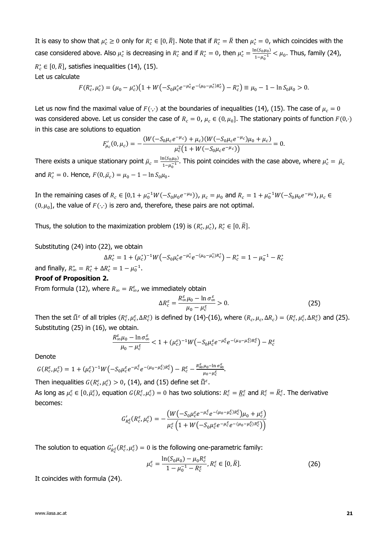It is easy to show that  $\mu_c^* \geq 0$  only for  $R_c^* \in [0,\bar{R}]$ . Note that if  $R_c^* = \bar{R}$  then  $\mu_c^* = 0$ , which coincides with the case considered above. Also  $\mu_c^*$  is decreasing in  $R_c^*$  and if  $R_c^* = 0$ , then  $\mu_c^* = \frac{\ln(S_0 \mu_0)}{1 - \mu_0 - 1}$  $\frac{\ln(30\mu_0)}{1-\mu_0^{-1}} < \mu_0$ . Thus, family [\(24\),](#page-19-2)  $R_c^* \in [0,\bar{R}]$ , satisfies inequalities [\(14\),](#page-8-6) [\(15\).](#page-8-7) Let us calculate

$$
F(R_c^*, \mu_c^*) = (\mu_0 - \mu_c^*) \big( 1 + W \big( -S_0 \mu_c^* e^{-\mu_c^*} e^{-(\mu_0 - \mu_c^*) R_c^*} \big) - R_c^* \big) \equiv \mu_0 - 1 - \ln S_0 \mu_0 > 0.
$$

Let us now find the maximal value of  $F(\cdot,\cdot)$  at the boundaries of inequalities [\(14\),](#page-8-6) [\(15\).](#page-8-7) The case of  $\mu_c = 0$ was considered above. Let us consider the case of  $R_c = 0$ ,  $\mu_c \in (0, \mu_0]$ . The stationary points of function  $F(0, \cdot)$ in this case are solutions to equation

$$
F'_{\mu_c}(0,\mu_c) = -\frac{(W(-S_0\mu_c e^{-\mu_c}) + \mu_c)(W(-S_0\mu_c e^{-\mu_c})\mu_0 + \mu_c)}{\mu_c^2(1 + W(-S_0\mu_c e^{-\mu_c}))} = 0.
$$

There exists a unique stationary point  $\bar{\mu}_c = \frac{\ln(S_0 \mu_0)}{1 - \mu^{-1}}$  $\frac{n(s_0\mu_0)}{1-\mu_0^{-1}}$ . This point coincides with the case above, where  $\mu_c^* = \bar{\mu}_c$ and  $R_c^* = 0$ . Hence,  $F(0, \bar{\mu}_c) = \mu_0 - 1 - \ln S_0 \mu_0$ .

In the remaining cases of  $R_c \in [0, 1 + \mu_0^{-1}W(-S_0\mu_0 e^{-\mu_0}))$ ,  $\mu_c = \mu_0$  and  $R_c = 1 + \mu_0^{-1}W(-S_0\mu_0 e^{-\mu_0})$ ,  $\mu_c \in$  $(0, \mu_0]$ , the value of  $F(\cdot, \cdot)$  is zero and, therefore, these pairs are not optimal.

Thus, the solution to the maximization problem [\(19\)](#page-9-3) is  $(R_c^*, \mu_c^*)$ ,  $R_c^* \in [0, \bar{R}]$ .

Substituting [\(24\)](#page-19-2) into [\(22\),](#page-19-0) we obtain

$$
\Delta R_c^* = 1 + (\mu_c^*)^{-1} W \left( -S_0 \mu_c^* e^{-\mu_c^*} e^{-(\mu_0 - \mu_c^*) R_c^*} \right) - R_c^* = 1 - \mu_0^{-1} - R_c^*
$$

and finally,  $R_{\infty}^{*} = R_{c}^{*} + \Delta R_{c}^{*} = 1 - \mu_{0}^{-1}$ .

#### **Proof of Proposition 2.**

From formula [\(12\),](#page-8-4) where  $R_{\infty} = R_{\infty}^{\varepsilon}$ , we immediately obtain

<span id="page-20-0"></span>
$$
\Delta R_c^{\varepsilon} = \frac{R_{\infty}^{\varepsilon} \mu_0 - \ln \sigma_{\infty}^{\varepsilon}}{\mu_0 - \mu_c^{\varepsilon}} > 0.
$$
 (25)

Then the set  $\widehat{\Omega}^{\varepsilon}$  of all triples  $(R_c^{\varepsilon}, \mu_c^{\varepsilon}, \Delta R_c^{\varepsilon})$  is defined by [\(14\)](#page-8-6)[-\(16\),](#page-8-3) where  $(R_c, \mu_c, \Delta R_c) = (R_c^{\varepsilon}, \mu_c^{\varepsilon}, \Delta R_c^{\varepsilon})$  and [\(25\).](#page-20-0) Substituting [\(25\)](#page-20-0) in [\(16\),](#page-8-3) we obtain.

$$
\frac{R_{\infty}^{\varepsilon}\mu_{0}-\ln\sigma_{\infty}^{\varepsilon}}{\mu_{0}-\mu_{\varepsilon}^{\varepsilon}}<1+(\mu_{c}^{\varepsilon})^{-1}W\big(-S_{0}\mu_{c}^{\varepsilon}e^{-\mu_{c}^{\varepsilon}}e^{-(\mu_{0}-\mu_{c}^{\varepsilon})R_{c}^{\varepsilon}}\big)-R_{c}^{\varepsilon}
$$

Denote

$$
G(R_c^{\varepsilon}, \mu_c^{\varepsilon}) = 1 + (\mu_c^{\varepsilon})^{-1} W\bigl(-S_0\mu_c^{\varepsilon}e^{-\mu_c^{\varepsilon}}e^{-(\mu_0-\mu_c^{\varepsilon})R_c^{\varepsilon}}\bigr) - R_c^{\varepsilon} - \frac{R_{\infty}^{\varepsilon}\mu_0 - \ln \sigma_{\infty}^{\varepsilon}}{\mu_0 - \mu_c^{\varepsilon}}.
$$

Then inequalities  $G(R_{c}^{\varepsilon}, \mu_{c}^{\varepsilon}) > 0$ , [\(14\),](#page-8-6) and [\(15\)](#page-8-7) define set  $\widehat{\Omega}^{\varepsilon}$ . As long as  $\mu_c^{\varepsilon} \in [0, \bar{\mu}_c^{\varepsilon})$ , equation  $G(R_c^{\varepsilon}, \mu_c^{\varepsilon}) = 0$  has two solutions:  $R_c^{\varepsilon} = \underline{R}_c^{\varepsilon}$  and  $R_c^{\varepsilon} = \overline{R}_c^{\varepsilon}$ . The derivative becomes:

$$
G'_{R_c^{\varepsilon}}(R_c^{\varepsilon}, \mu_c^{\varepsilon}) = -\frac{\left(W\left(-S_0\mu_c^{\varepsilon}e^{-\mu_c^{\varepsilon}}e^{-(\mu_0-\mu_c^{\varepsilon})R_c^{\varepsilon}}\right)\mu_0 + \mu_c^{\varepsilon}}{\mu_c^{\varepsilon}\left(1 + W\left(-S_0\mu_c^{\varepsilon}e^{-\mu_c^{\varepsilon}}e^{-(\mu_0-\mu_c^{\varepsilon})R_c^{\varepsilon}}\right)\right)}
$$

The solution to equation  $G'_{R_c^{\mathcal{E}}}(R_c^{\mathcal{E}},\mu_c^{\mathcal{E}})=0$  is the following one-parametric family:

<span id="page-20-1"></span>
$$
\mu_c^{\varepsilon} = \frac{\ln(S_0 \mu_0) - \mu_0 R_c^{\varepsilon}}{1 - \mu_0^{-1} - R_c^{\varepsilon}}, R_c^{\varepsilon} \in [0, \bar{R}].
$$
\n(26)

It coincides with formula [\(24\).](#page-19-2)